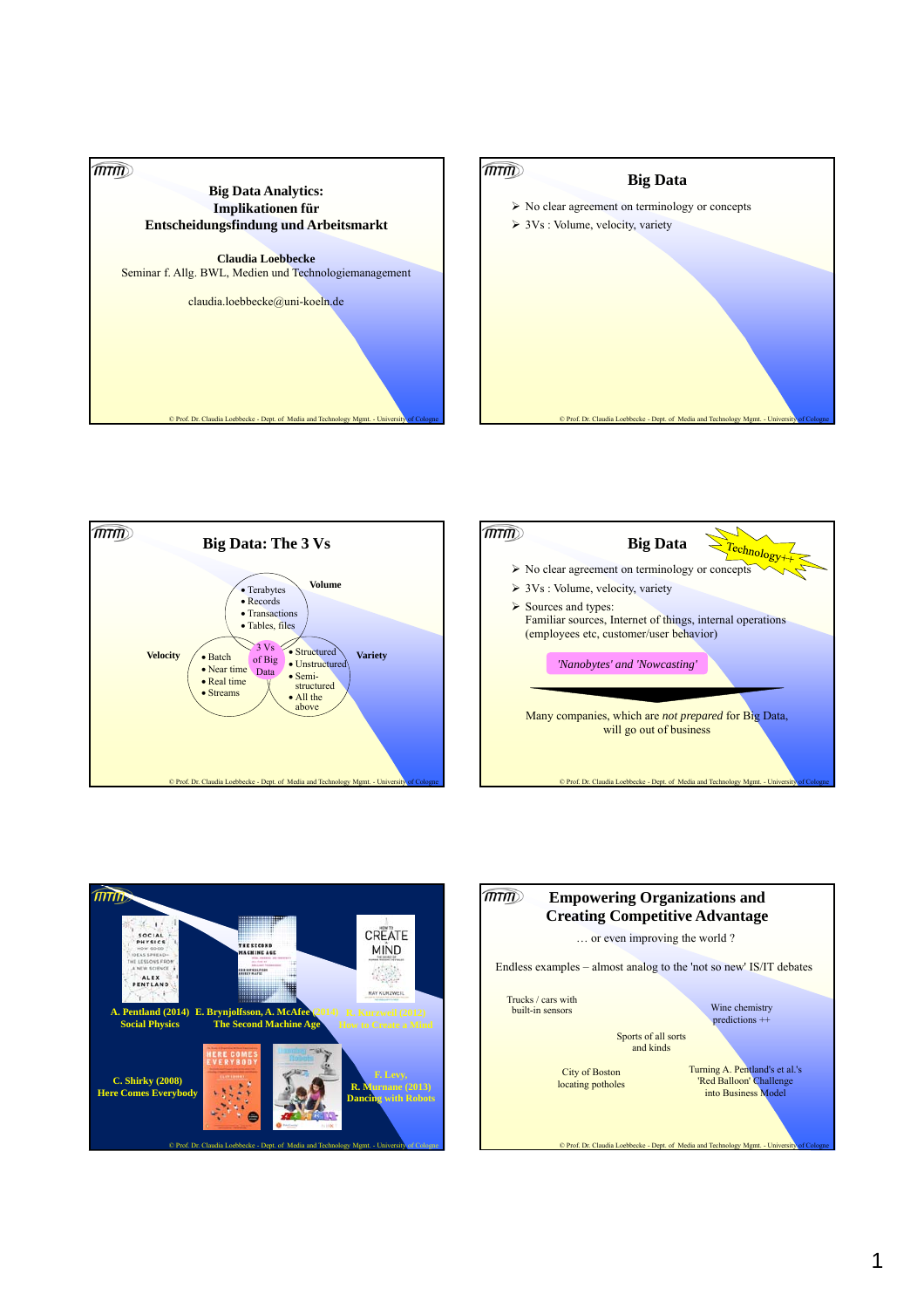